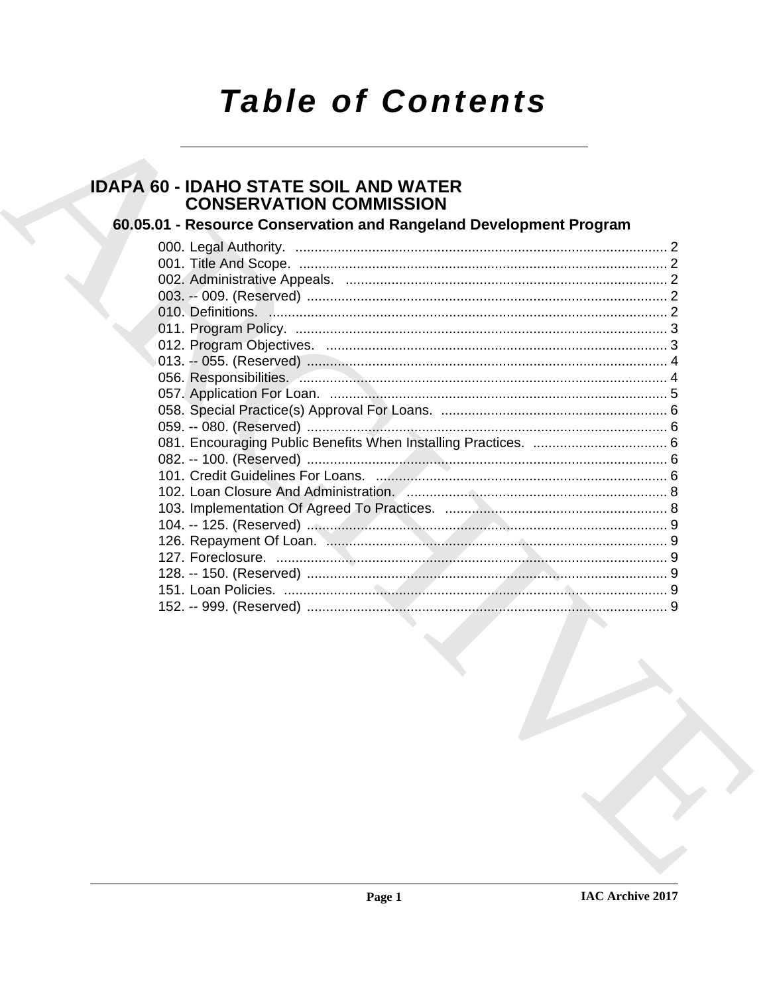# **Table of Contents**

# **IDAPA 60 - IDAHO STATE SOIL AND WATER CONSERVATION COMMISSION**

## 60.05.01 - Resource Conservation and Rangeland Development Program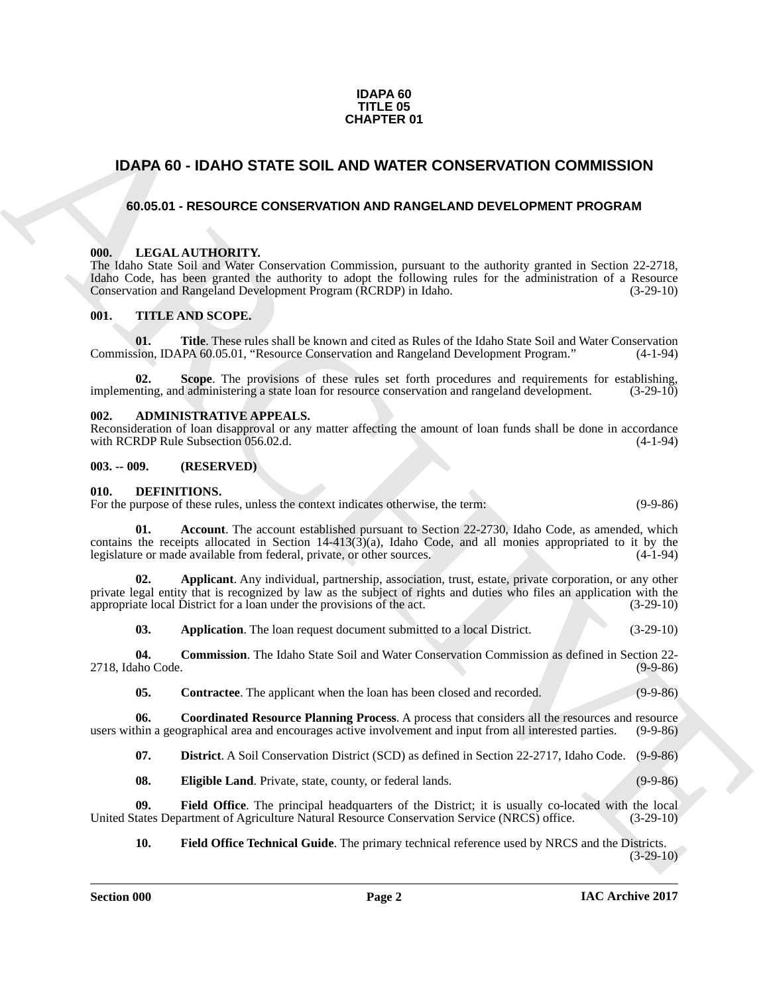#### **IDAPA 60 TITLE 05 CHAPTER 01**

### <span id="page-1-0"></span>**IDAPA 60 - IDAHO STATE SOIL AND WATER CONSERVATION COMMISSION**

#### <span id="page-1-1"></span>**60.05.01 - RESOURCE CONSERVATION AND RANGELAND DEVELOPMENT PROGRAM**

#### <span id="page-1-2"></span>**000. LEGAL AUTHORITY.**

**CHAPTER 01**<br> **IDAPA 60 - IDAHO STATE SOIL AND WATER CONSERVATION COMMISSION**<br> **40.65.01 - RESQUECE CONSERVATION AIDS RANGELAND DEVELOPMENT PROGRAM<br>
THE LAD, See Not an West through the concernsion possible to the indicat** The Idaho State Soil and Water Conservation Commission, pursuant to the authority granted in Section 22-2718, Idaho Code, has been granted the authority to adopt the following rules for the administration of a Resource Conservation and Rangeland Development Program (RCRDP) in Idaho. (3-29-10)

#### <span id="page-1-3"></span>**001. TITLE AND SCOPE.**

**01.** Title. These rules shall be known and cited as Rules of the Idaho State Soil and Water Conservation sion, IDAPA 60.05.01, "Resource Conservation and Rangeland Development Program." (4-1-94) Commission, IDAPA 60.05.01, "Resource Conservation and Rangeland Development Program."

**02.** Scope. The provisions of these rules set forth procedures and requirements for establishing, and administering a state loan for resource conservation and rangeland development. (3-29-10) implementing, and administering a state loan for resource conservation and rangeland development.

#### <span id="page-1-4"></span>**002. ADMINISTRATIVE APPEALS.**

Reconsideration of loan disapproval or any matter affecting the amount of loan funds shall be done in accordance with RCRDP Rule Subsection 056.02.d. with RCRDP Rule Subsection 056.02.d.

#### <span id="page-1-5"></span>**003. -- 009. (RESERVED)**

#### <span id="page-1-7"></span><span id="page-1-6"></span>**010. DEFINITIONS.**

For the purpose of these rules, unless the context indicates otherwise, the term: (9-9-86)

<span id="page-1-8"></span>**01. Account**. The account established pursuant to Section 22-2730, Idaho Code, as amended, which contains the receipts allocated in Section 14-413( $3$ )(a), Idaho Code, and all monies appropriated to it by the legislature or made available from federal, private, or other sources.  $(4-1-94)$ legislature or made available from federal, private, or other sources.

**02. Applicant**. Any individual, partnership, association, trust, estate, private corporation, or any other private legal entity that is recognized by law as the subject of rights and duties who files an application with the appropriate local District for a loan under the provisions of the act. (3-29-10)

<span id="page-1-11"></span><span id="page-1-10"></span><span id="page-1-9"></span>**03.** Application. The loan request document submitted to a local District. (3-29-10)

**04. Commission**. The Idaho State Soil and Water Conservation Commission as defined in Section 22- 2718, Idaho Code.

<span id="page-1-13"></span><span id="page-1-12"></span>**05. Contractee**. The applicant when the loan has been closed and recorded. (9-9-86)

**06.** Coordinated Resource Planning Process. A process that considers all the resources and resource hin a geographical area and encourages active involvement and input from all interested parties. (9-9-86) users within a geographical area and encourages active involvement and input from all interested parties.

<span id="page-1-15"></span><span id="page-1-14"></span>**07. District**. A Soil Conservation District (SCD) as defined in Section 22-2717, Idaho Code. (9-9-86)

<span id="page-1-16"></span>**08. Eligible Land**. Private, state, county, or federal lands. (9-9-86)

**09. Field Office**. The principal headquarters of the District; it is usually co-located with the local United States Department of Agriculture Natural Resource Conservation Service (NRCS) office. (3-29-10)

<span id="page-1-17"></span>**10. Field Office Technical Guide**. The primary technical reference used by NRCS and the Districts.  $(3-29-10)$ 

**Section 000 Page 2**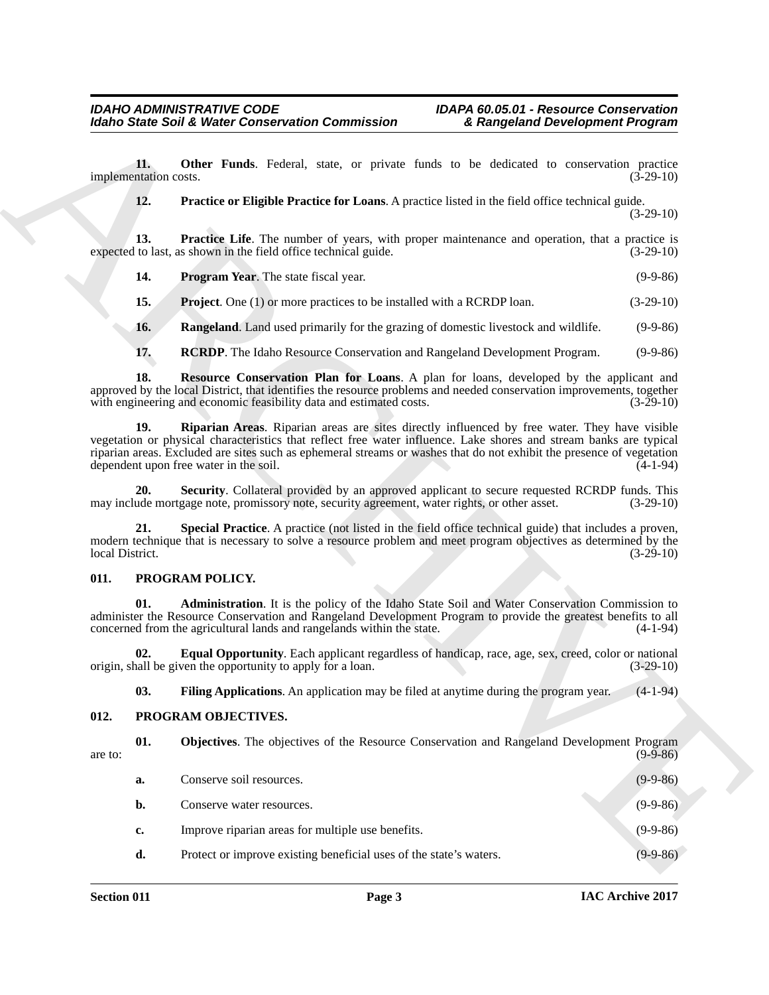#### <span id="page-2-17"></span><span id="page-2-16"></span><span id="page-2-15"></span><span id="page-2-12"></span><span id="page-2-11"></span><span id="page-2-10"></span><span id="page-2-9"></span><span id="page-2-8"></span><span id="page-2-0"></span>**011. PROGRAM POLICY.**

#### <span id="page-2-18"></span><span id="page-2-14"></span><span id="page-2-13"></span><span id="page-2-1"></span>**012. PROGRAM OBJECTIVES.**

<span id="page-2-7"></span><span id="page-2-6"></span><span id="page-2-5"></span><span id="page-2-4"></span><span id="page-2-3"></span><span id="page-2-2"></span>

|                       |     | <b>Idaho State Soil &amp; Water Conservation Commission</b><br>& Rangeland Development Program                                                                                                                                                                                                                                                                                         |             |
|-----------------------|-----|----------------------------------------------------------------------------------------------------------------------------------------------------------------------------------------------------------------------------------------------------------------------------------------------------------------------------------------------------------------------------------------|-------------|
| implementation costs. | 11. | Other Funds. Federal, state, or private funds to be dedicated to conservation practice                                                                                                                                                                                                                                                                                                 | $(3-29-10)$ |
|                       | 12. | Practice or Eligible Practice for Loans. A practice listed in the field office technical guide.                                                                                                                                                                                                                                                                                        | $(3-29-10)$ |
|                       | 13. | <b>Practice Life.</b> The number of years, with proper maintenance and operation, that a practice is<br>expected to last, as shown in the field office technical guide.                                                                                                                                                                                                                | $(3-29-10)$ |
|                       | 14. | <b>Program Year.</b> The state fiscal year.                                                                                                                                                                                                                                                                                                                                            | $(9-9-86)$  |
|                       | 15. | <b>Project.</b> One (1) or more practices to be installed with a RCRDP loan.                                                                                                                                                                                                                                                                                                           | $(3-29-10)$ |
|                       | 16. | <b>Rangeland.</b> Land used primarily for the grazing of domestic livestock and wildlife.                                                                                                                                                                                                                                                                                              | $(9-9-86)$  |
|                       | 17. | RCRDP. The Idaho Resource Conservation and Rangeland Development Program.                                                                                                                                                                                                                                                                                                              | $(9-9-86)$  |
|                       | 18. | <b>Resource Conservation Plan for Loans.</b> A plan for loans, developed by the applicant and<br>approved by the local District, that identifies the resource problems and needed conservation improvements, together<br>with engineering and economic feasibility data and estimated costs.                                                                                           | $(3-29-10)$ |
|                       | 19. | Riparian Areas. Riparian areas are sites directly influenced by free water. They have visible<br>vegetation or physical characteristics that reflect free water influence. Lake shores and stream banks are typical<br>riparian areas. Excluded are sites such as ephemeral streams or washes that do not exhibit the presence of vegetation<br>dependent upon free water in the soil. | $(4-1-94)$  |
|                       | 20. | Security. Collateral provided by an approved applicant to secure requested RCRDP funds. This<br>may include mortgage note, promissory note, security agreement, water rights, or other asset.                                                                                                                                                                                          | $(3-29-10)$ |
| local District.       | 21. | Special Practice. A practice (not listed in the field office technical guide) that includes a proven,<br>modern technique that is necessary to solve a resource problem and meet program objectives as determined by the                                                                                                                                                               | $(3-29-10)$ |
| 011.                  |     | PROGRAM POLICY.                                                                                                                                                                                                                                                                                                                                                                        |             |
|                       | 01. | Administration. It is the policy of the Idaho State Soil and Water Conservation Commission to<br>administer the Resource Conservation and Rangeland Development Program to provide the greatest benefits to all<br>concerned from the agricultural lands and rangelands within the state.                                                                                              | $(4-1-94)$  |
|                       | 02. | Equal Opportunity. Each applicant regardless of handicap, race, age, sex, creed, color or national<br>origin, shall be given the opportunity to apply for a loan.                                                                                                                                                                                                                      | $(3-29-10)$ |
|                       | 03. | Filing Applications. An application may be filed at anytime during the program year.                                                                                                                                                                                                                                                                                                   | $(4-1-94)$  |
| 012.                  |     | PROGRAM OBJECTIVES.                                                                                                                                                                                                                                                                                                                                                                    |             |
| are to:               | 01. | Objectives. The objectives of the Resource Conservation and Rangeland Development Program                                                                                                                                                                                                                                                                                              | $(9-9-86)$  |
|                       | a.  | Conserve soil resources.                                                                                                                                                                                                                                                                                                                                                               | $(9-9-86)$  |
|                       | b.  | Conserve water resources.                                                                                                                                                                                                                                                                                                                                                              | $(9-9-86)$  |
|                       | c.  | Improve riparian areas for multiple use benefits.                                                                                                                                                                                                                                                                                                                                      | $(9-9-86)$  |
|                       |     |                                                                                                                                                                                                                                                                                                                                                                                        |             |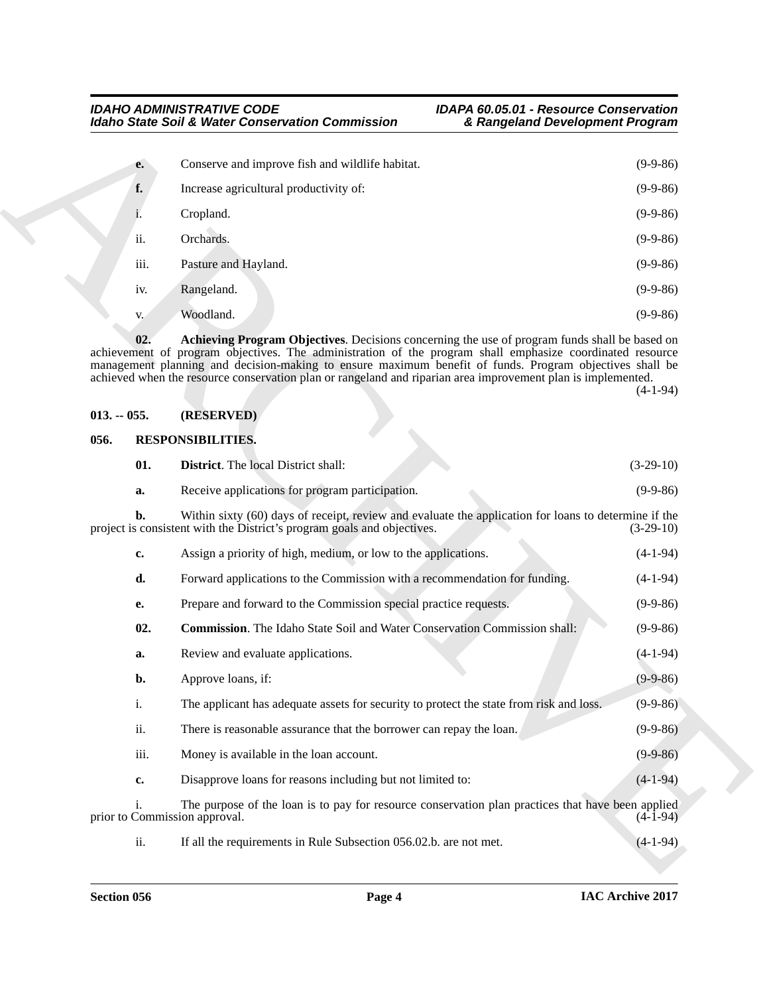| e.   | Conserve and improve fish and wildlife habitat. | $(9-9-86)$ |
|------|-------------------------------------------------|------------|
| f.   | Increase agricultural productivity of:          | $(9-9-86)$ |
| ı.   | Cropland.                                       | $(9-9-86)$ |
| ii.  | Orchards.                                       | $(9-9-86)$ |
| iii. | Pasture and Hayland.                            | $(9-9-86)$ |
| iv.  | Rangeland.                                      | $(9-9-86)$ |
| V.   | Woodland.                                       | $(9-9-86)$ |

#### <span id="page-3-2"></span><span id="page-3-0"></span>**013. -- 055. (RESERVED)**

#### <span id="page-3-5"></span><span id="page-3-4"></span><span id="page-3-3"></span><span id="page-3-1"></span>**056. RESPONSIBILITIES.**

|               |      | <b>Idaho State Soil &amp; Water Conservation Commission</b><br>& Rangeland Development Program                                                                                                                                                                                                                                                                                                                                        |                                                      |
|---------------|------|---------------------------------------------------------------------------------------------------------------------------------------------------------------------------------------------------------------------------------------------------------------------------------------------------------------------------------------------------------------------------------------------------------------------------------------|------------------------------------------------------|
|               | e.   | Conserve and improve fish and wildlife habitat.                                                                                                                                                                                                                                                                                                                                                                                       | $(9-9-86)$                                           |
|               | f.   | Increase agricultural productivity of:                                                                                                                                                                                                                                                                                                                                                                                                | $(9-9-86)$                                           |
|               | 1.   | Cropland.                                                                                                                                                                                                                                                                                                                                                                                                                             | $(9-9-86)$                                           |
|               | ii.  | Orchards.                                                                                                                                                                                                                                                                                                                                                                                                                             | $(9-9-86)$                                           |
|               | iii. | Pasture and Hayland.                                                                                                                                                                                                                                                                                                                                                                                                                  | $(9-9-86)$                                           |
|               | iv.  | Rangeland.                                                                                                                                                                                                                                                                                                                                                                                                                            | $(9-9-86)$                                           |
|               | V.   | Woodland.                                                                                                                                                                                                                                                                                                                                                                                                                             | $(9-9-86)$                                           |
|               | 02.  | Achieving Program Objectives. Decisions concerning the use of program funds shall be based on<br>achievement of program objectives. The administration of the program shall emphasize coordinated resource<br>management planning and decision-making to ensure maximum benefit of funds. Program objectives shall be<br>achieved when the resource conservation plan or rangeland and riparian area improvement plan is implemented. | $(4-1-94)$                                           |
| $013. - 055.$ |      | (RESERVED)                                                                                                                                                                                                                                                                                                                                                                                                                            |                                                      |
| 056.          |      | <b>RESPONSIBILITIES.</b>                                                                                                                                                                                                                                                                                                                                                                                                              |                                                      |
|               | 01.  | <b>District.</b> The local District shall:                                                                                                                                                                                                                                                                                                                                                                                            | $(3-29-10)$                                          |
|               | a.   | Receive applications for program participation.                                                                                                                                                                                                                                                                                                                                                                                       | $(9-9-86)$                                           |
|               | b.   | Within sixty (60) days of receipt, review and evaluate the application for loans to determine if the<br>project is consistent with the District's program goals and objectives.                                                                                                                                                                                                                                                       | $(3-29-10)$                                          |
|               | c.   | Assign a priority of high, medium, or low to the applications.                                                                                                                                                                                                                                                                                                                                                                        | $(4-1-94)$                                           |
|               | d.   | Forward applications to the Commission with a recommendation for funding.                                                                                                                                                                                                                                                                                                                                                             | $(4-1-94)$                                           |
|               | е.   | Prepare and forward to the Commission special practice requests.                                                                                                                                                                                                                                                                                                                                                                      | $(9-9-86)$                                           |
|               |      | <b>Commission</b> . The Idaho State Soil and Water Conservation Commission shall:                                                                                                                                                                                                                                                                                                                                                     | $(9-9-86)$                                           |
|               | 02.  |                                                                                                                                                                                                                                                                                                                                                                                                                                       |                                                      |
|               | a.   | Review and evaluate applications.                                                                                                                                                                                                                                                                                                                                                                                                     |                                                      |
|               | b.   | Approve loans, if:                                                                                                                                                                                                                                                                                                                                                                                                                    |                                                      |
|               | i.   | The applicant has adequate assets for security to protect the state from risk and loss.                                                                                                                                                                                                                                                                                                                                               |                                                      |
|               | ii.  | There is reasonable assurance that the borrower can repay the loan.                                                                                                                                                                                                                                                                                                                                                                   | $(9-9-86)$                                           |
|               | iii. | Money is available in the loan account.                                                                                                                                                                                                                                                                                                                                                                                               | $(4-1-94)$<br>$(9-9-86)$<br>$(9-9-86)$<br>$(9-9-86)$ |
|               | c.   | Disapprove loans for reasons including but not limited to:                                                                                                                                                                                                                                                                                                                                                                            | $(4-1-94)$                                           |
|               | i.   | The purpose of the loan is to pay for resource conservation plan practices that have been applied<br>prior to Commission approval.                                                                                                                                                                                                                                                                                                    | $(4-1-94)$                                           |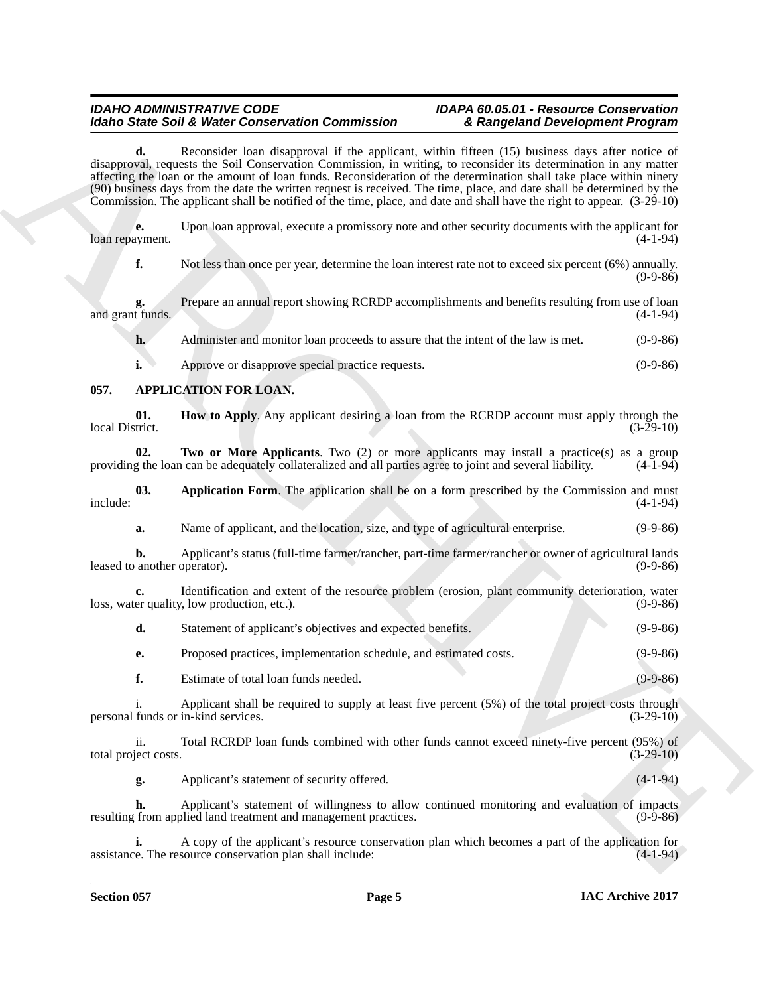#### *IDAHO ADMINISTRATIVE CODE IDAPA 60.05.01 - Resource Conservation Idaho State Soil & Water Conservation Commission & Rangeland Development Program*

Moreo State. Both Water Centerstand Contents and the projection of the Ramphond Development Projection<br>
Archives the state of the state of the state of the state of the state of the state of the state of the state of the **d.** Reconsider loan disapproval if the applicant, within fifteen (15) business days after notice of disapproval, requests the Soil Conservation Commission, in writing, to reconsider its determination in any matter affecting the loan or the amount of loan funds. Reconsideration of the determination shall take place within ninety (90) business days from the date the written request is received. The time, place, and date shall be determined by the Commission. The applicant shall be notified of the time, place, and date and shall have the right to appear. (3-29-10)

**e.** Upon loan approval, execute a promissory note and other security documents with the applicant for loan repayment.

**f.** Not less than once per year, determine the loan interest rate not to exceed six percent (6%) annually.  $(9-9-86)$ 

**g.** Prepare an annual report showing RCRDP accomplishments and benefits resulting from use of loan t funds. (4-1-94) and grant funds.

**h.** Administer and monitor loan proceeds to assure that the intent of the law is met. (9-9-86)

<span id="page-4-3"></span><span id="page-4-1"></span>**i.** Approve or disapprove special practice requests. (9-9-86)

### <span id="page-4-0"></span>**057. APPLICATION FOR LOAN.**

**01.** How to Apply. Any applicant desiring a loan from the RCRDP account must apply through the local District. (3-29-10) local District. (3-29-10)

<span id="page-4-4"></span>**02. Two or More Applicants**. Two (2) or more applicants may install a practice(s) as a group g the loan can be adequately collateralized and all parties agree to joint and several liability. (4-1-94) providing the loan can be adequately collateralized and all parties agree to joint and several liability.

**03.** Application Form. The application shall be on a form prescribed by the Commission and must (4-1-94) include: (4-1-94)

<span id="page-4-2"></span>**a.** Name of applicant, and the location, size, and type of agricultural enterprise. (9-9-86)

**b.** Applicant's status (full-time farmer/rancher, part-time farmer/rancher or owner of agricultural lands leased to another operator). (9-9-86)

**c.** Identification and extent of the resource problem (erosion, plant community deterioration, water er quality, low production, etc.). loss, water quality, low production, etc.).

|  | Statement of applicant's objectives and expected benefits. | $(9-9-86)$ |
|--|------------------------------------------------------------|------------|
|--|------------------------------------------------------------|------------|

**e.** Proposed practices, implementation schedule, and estimated costs. (9-9-86)

**f.** Estimate of total loan funds needed. (9-9-86)

i. Applicant shall be required to supply at least five percent (5%) of the total project costs through funds or in-kind services. (3-29-10) personal funds or in-kind services.

ii. Total RCRDP loan funds combined with other funds cannot exceed ninety-five percent (95%) of ject costs. (3-29-10) total project costs.

**g.** Applicant's statement of security offered. (4-1-94)

**h.** Applicant's statement of willingness to allow continued monitoring and evaluation of impacts from applied land treatment and management practices. (9-9-86) resulting from applied land treatment and management practices.

**i.** A copy of the applicant's resource conservation plan which becomes a part of the application for assistance. The resource conservation plan shall include: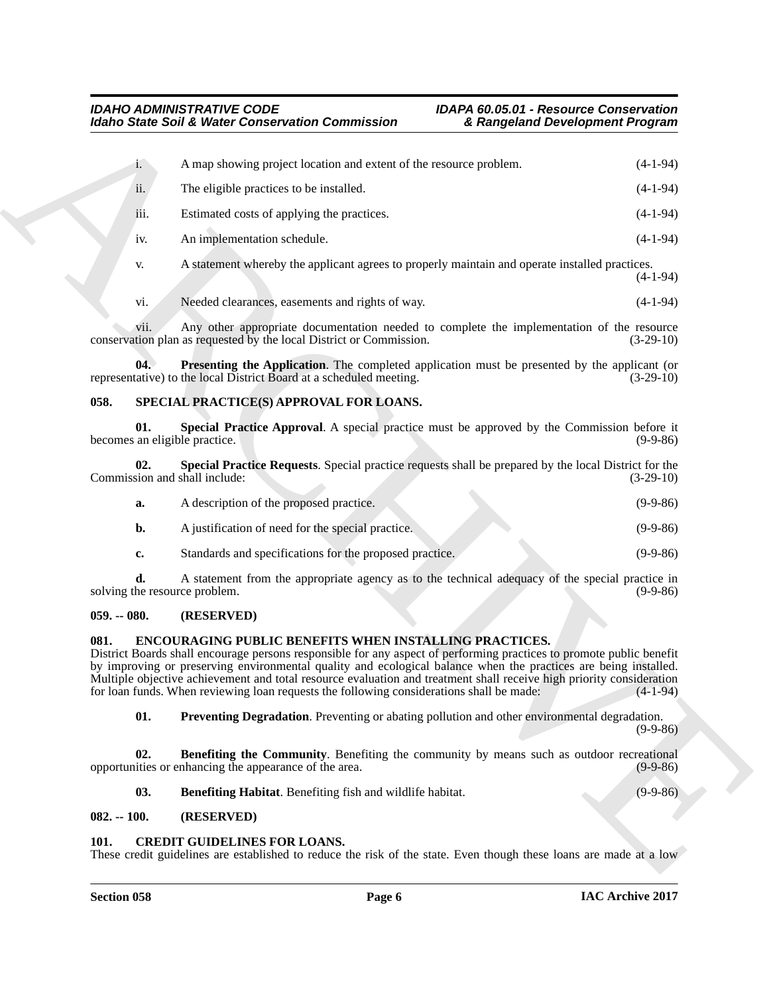|                                      | <b>Idaho State Soil &amp; Water Conservation Commission</b>                                                                                                                                                                                                                                                                                                                                                                                                                                                                  | & Rangeland Development Program |             |
|--------------------------------------|------------------------------------------------------------------------------------------------------------------------------------------------------------------------------------------------------------------------------------------------------------------------------------------------------------------------------------------------------------------------------------------------------------------------------------------------------------------------------------------------------------------------------|---------------------------------|-------------|
| $\mathbf{i}$ .                       | A map showing project location and extent of the resource problem.                                                                                                                                                                                                                                                                                                                                                                                                                                                           |                                 | $(4-1-94)$  |
| ii.                                  | The eligible practices to be installed.                                                                                                                                                                                                                                                                                                                                                                                                                                                                                      |                                 | $(4-1-94)$  |
| iii.                                 | Estimated costs of applying the practices.                                                                                                                                                                                                                                                                                                                                                                                                                                                                                   |                                 | $(4-1-94)$  |
| iv.                                  | An implementation schedule.                                                                                                                                                                                                                                                                                                                                                                                                                                                                                                  |                                 | $(4-1-94)$  |
| V.                                   | A statement whereby the applicant agrees to properly maintain and operate installed practices.                                                                                                                                                                                                                                                                                                                                                                                                                               |                                 | $(4-1-94)$  |
| vi.                                  | Needed clearances, easements and rights of way.                                                                                                                                                                                                                                                                                                                                                                                                                                                                              |                                 | $(4-1-94)$  |
| V11.                                 | Any other appropriate documentation needed to complete the implementation of the resource<br>conservation plan as requested by the local District or Commission.                                                                                                                                                                                                                                                                                                                                                             |                                 | $(3-29-10)$ |
| 04.                                  | <b>Presenting the Application</b> . The completed application must be presented by the applicant (or<br>representative) to the local District Board at a scheduled meeting.                                                                                                                                                                                                                                                                                                                                                  |                                 | $(3-29-10)$ |
| 058.                                 | SPECIAL PRACTICE(S) APPROVAL FOR LOANS.                                                                                                                                                                                                                                                                                                                                                                                                                                                                                      |                                 |             |
| 01.<br>becomes an eligible practice. | Special Practice Approval. A special practice must be approved by the Commission before it                                                                                                                                                                                                                                                                                                                                                                                                                                   |                                 | $(9-9-86)$  |
| 02.<br>Commission and shall include: | Special Practice Requests. Special practice requests shall be prepared by the local District for the                                                                                                                                                                                                                                                                                                                                                                                                                         |                                 | $(3-29-10)$ |
| a.                                   | A description of the proposed practice.                                                                                                                                                                                                                                                                                                                                                                                                                                                                                      |                                 | $(9-9-86)$  |
| b.                                   | A justification of need for the special practice.                                                                                                                                                                                                                                                                                                                                                                                                                                                                            |                                 | $(9-9-86)$  |
| c.                                   | Standards and specifications for the proposed practice.                                                                                                                                                                                                                                                                                                                                                                                                                                                                      |                                 | $(9-9-86)$  |
| d.<br>solving the resource problem.  | A statement from the appropriate agency as to the technical adequacy of the special practice in                                                                                                                                                                                                                                                                                                                                                                                                                              |                                 | $(9-9-86)$  |
| $059. - 080.$                        | (RESERVED)                                                                                                                                                                                                                                                                                                                                                                                                                                                                                                                   |                                 |             |
| 081.                                 | <b>ENCOURAGING PUBLIC BENEFITS WHEN INSTALLING PRACTICES.</b><br>District Boards shall encourage persons responsible for any aspect of performing practices to promote public benefit<br>by improving or preserving environmental quality and ecological balance when the practices are being installed.<br>Multiple objective achievement and total resource evaluation and treatment shall receive high priority consideration<br>for loan funds. When reviewing loan requests the following considerations shall be made: |                                 | $(4-1-94)$  |
| 01.                                  | Preventing Degradation. Preventing or abating pollution and other environmental degradation.                                                                                                                                                                                                                                                                                                                                                                                                                                 |                                 | $(9-9-86)$  |
| 02.                                  | <b>Benefiting the Community</b> . Benefiting the community by means such as outdoor recreational<br>opportunities or enhancing the appearance of the area.                                                                                                                                                                                                                                                                                                                                                                   |                                 | $(9-9-86)$  |
| 03.                                  | Benefiting Habitat. Benefiting fish and wildlife habitat.                                                                                                                                                                                                                                                                                                                                                                                                                                                                    |                                 | $(9-9-86)$  |
| $082. - 100.$                        | (RESERVED)                                                                                                                                                                                                                                                                                                                                                                                                                                                                                                                   |                                 |             |
| 101.                                 | <b>CREDIT GUIDELINES FOR LOANS.</b><br>These credit guidelines are established to reduce the risk of the state. Even though these loans are made at a low                                                                                                                                                                                                                                                                                                                                                                    |                                 |             |

- <span id="page-5-13"></span><span id="page-5-12"></span><span id="page-5-11"></span><span id="page-5-5"></span><span id="page-5-0"></span>**b.** A justification of need for the special practice. (9-9-86)
- **c.** Standards and specifications for the proposed practice. (9-9-86)

#### <span id="page-5-1"></span>**059. -- 080. (RESERVED)**

#### <span id="page-5-10"></span><span id="page-5-7"></span><span id="page-5-2"></span>**081. ENCOURAGING PUBLIC BENEFITS WHEN INSTALLING PRACTICES.**

#### <span id="page-5-9"></span><span id="page-5-8"></span><span id="page-5-3"></span>**082. -- 100. (RESERVED)**

#### <span id="page-5-6"></span><span id="page-5-4"></span>**101. CREDIT GUIDELINES FOR LOANS.**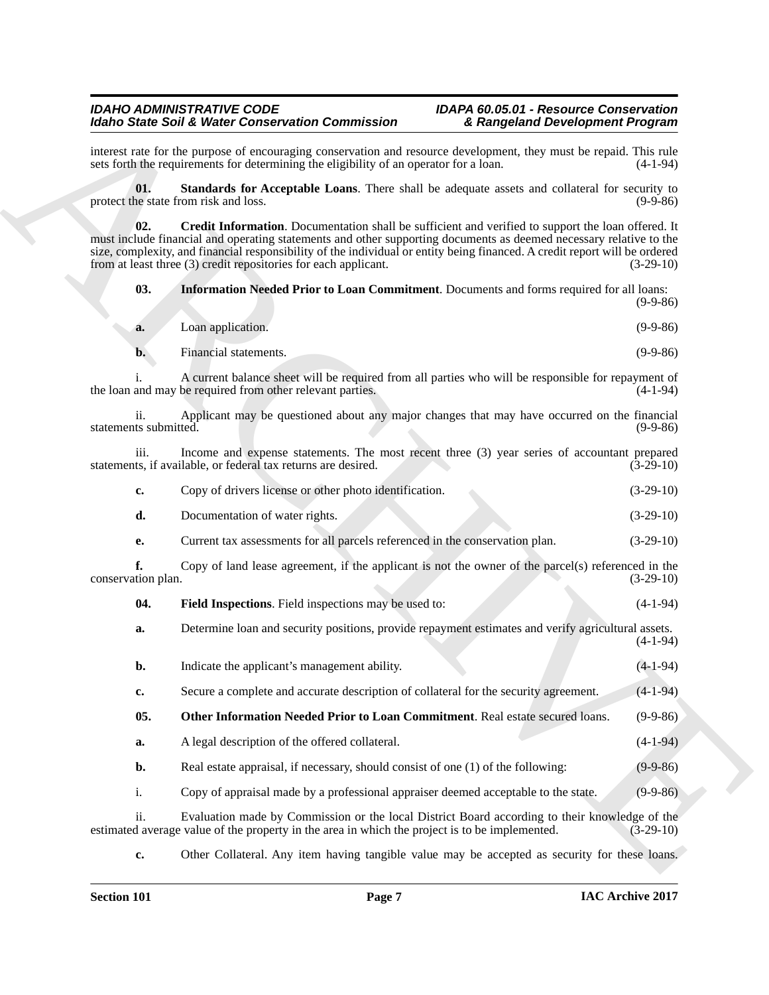#### <span id="page-6-4"></span>*IDAHO ADMINISTRATIVE CODE IDAPA 60.05.01 - Resource Conservation Idaho State Soil & Water Conservation Commission & Rangeland Development Program*

<span id="page-6-2"></span><span id="page-6-0"></span>

| a. | Loan application. | $(9-9-86)$ |
|----|-------------------|------------|

| Copy of drivers license or other photo identification. | $(3-29-10)$ |
|--------------------------------------------------------|-------------|
| Documentation of water rights.                         | $(3-29-10)$ |

<span id="page-6-3"></span><span id="page-6-1"></span>

| -04. | <b>Field Inspections.</b> Field inspections may be used to: |  |  | $(4-1-94)$ |
|------|-------------------------------------------------------------|--|--|------------|
|------|-------------------------------------------------------------|--|--|------------|

|                              | <b>Idaho State Soil &amp; Water Conservation Commission</b>                                                                                                                                                                                                                                                         | & Rangeland Development Program                                                                                   |
|------------------------------|---------------------------------------------------------------------------------------------------------------------------------------------------------------------------------------------------------------------------------------------------------------------------------------------------------------------|-------------------------------------------------------------------------------------------------------------------|
|                              | interest rate for the purpose of encouraging conservation and resource development, they must be repaid. This rule<br>sets forth the requirements for determining the eligibility of an operator for a loan.                                                                                                        | $(4-1-94)$                                                                                                        |
| 01.                          | protect the state from risk and loss.                                                                                                                                                                                                                                                                               | Standards for Acceptable Loans. There shall be adequate assets and collateral for security to<br>$(9-9-86)$       |
| 02.                          | must include financial and operating statements and other supporting documents as deemed necessary relative to the<br>size, complexity, and financial responsibility of the individual or entity being financed. A credit report will be ordered<br>from at least three (3) credit repositories for each applicant. | Credit Information. Documentation shall be sufficient and verified to support the loan offered. It<br>$(3-29-10)$ |
| 03.                          | <b>Information Needed Prior to Loan Commitment.</b> Documents and forms required for all loans:                                                                                                                                                                                                                     | $(9-9-86)$                                                                                                        |
| a.                           | Loan application.                                                                                                                                                                                                                                                                                                   | $(9-9-86)$                                                                                                        |
| $\mathbf{b}$ .               | Financial statements.                                                                                                                                                                                                                                                                                               | $(9-9-86)$                                                                                                        |
|                              | the loan and may be required from other relevant parties.                                                                                                                                                                                                                                                           | A current balance sheet will be required from all parties who will be responsible for repayment of<br>$(4-1-94)$  |
| ii.<br>statements submitted. |                                                                                                                                                                                                                                                                                                                     | Applicant may be questioned about any major changes that may have occurred on the financial<br>$(9-9-86)$         |
| iii.                         | statements, if available, or federal tax returns are desired.                                                                                                                                                                                                                                                       | Income and expense statements. The most recent three (3) year series of accountant prepared<br>$(3-29-10)$        |
| c.                           | Copy of drivers license or other photo identification.                                                                                                                                                                                                                                                              | $(3-29-10)$                                                                                                       |
| d.                           | Documentation of water rights.                                                                                                                                                                                                                                                                                      | $(3-29-10)$                                                                                                       |
| е.                           | Current tax assessments for all parcels referenced in the conservation plan.                                                                                                                                                                                                                                        | $(3-29-10)$                                                                                                       |
| f.<br>conservation plan.     |                                                                                                                                                                                                                                                                                                                     | Copy of land lease agreement, if the applicant is not the owner of the parcel(s) referenced in the<br>$(3-29-10)$ |
| 04.                          | Field Inspections. Field inspections may be used to:                                                                                                                                                                                                                                                                | $(4-1-94)$                                                                                                        |
| a.                           | Determine loan and security positions, provide repayment estimates and verify agricultural assets.                                                                                                                                                                                                                  | $(4-1-94)$                                                                                                        |
| b.                           | Indicate the applicant's management ability.                                                                                                                                                                                                                                                                        | $(4-1-94)$                                                                                                        |
| c.                           | Secure a complete and accurate description of collateral for the security agreement.                                                                                                                                                                                                                                | $(4-1-94)$                                                                                                        |
| 05.                          | Other Information Needed Prior to Loan Commitment. Real estate secured loans.                                                                                                                                                                                                                                       | $(9-9-86)$                                                                                                        |
| a.                           | A legal description of the offered collateral.                                                                                                                                                                                                                                                                      | $(4-1-94)$                                                                                                        |
| b.                           | Real estate appraisal, if necessary, should consist of one (1) of the following:                                                                                                                                                                                                                                    | $(9-9-86)$                                                                                                        |
| i.                           | Copy of appraisal made by a professional appraiser deemed acceptable to the state.                                                                                                                                                                                                                                  | $(9-9-86)$                                                                                                        |
| ii.                          | estimated average value of the property in the area in which the project is to be implemented.                                                                                                                                                                                                                      | Evaluation made by Commission or the local District Board according to their knowledge of the<br>$(3-29-10)$      |
| $\mathbf{c}$                 |                                                                                                                                                                                                                                                                                                                     | Other Collateral. Any item having tangible value may be accepted as security for these loans.                     |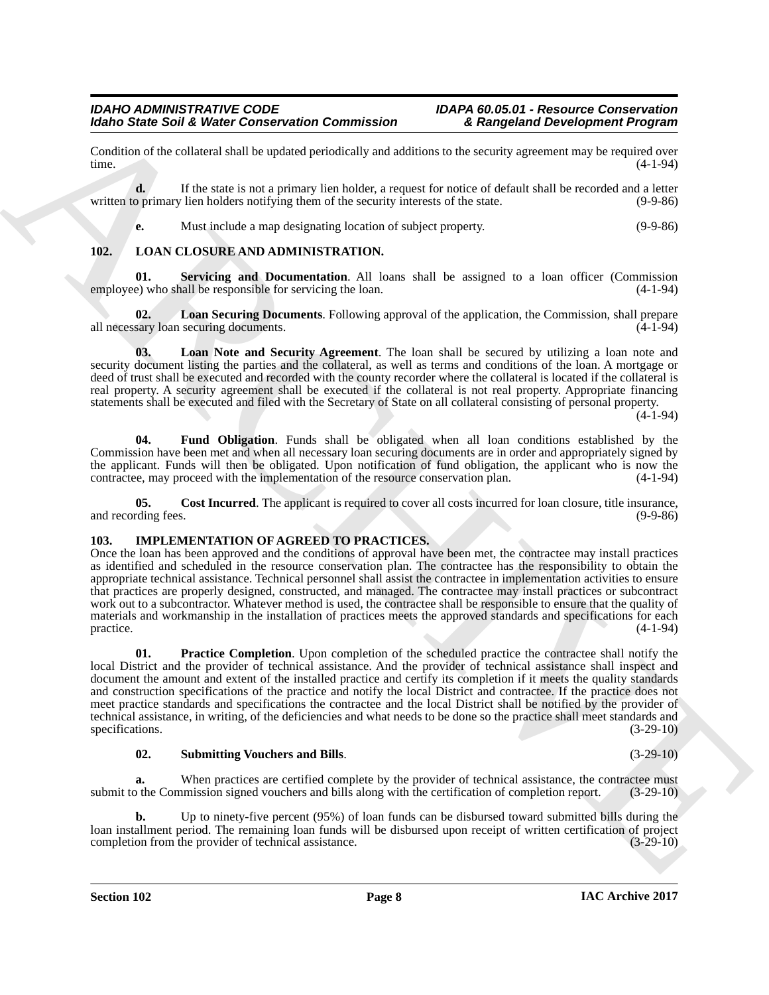Condition of the collateral shall be updated periodically and additions to the security agreement may be required over time. time.  $(4-1-94)$ 

**d.** If the state is not a primary lien holder, a request for notice of default shall be recorded and a letter written to primary lien holders notifying them of the security interests of the state. (9-9-86)

<span id="page-7-10"></span><span id="page-7-5"></span>**e.** Must include a map designating location of subject property. (9-9-86)

#### <span id="page-7-0"></span>**102. LOAN CLOSURE AND ADMINISTRATION.**

**01.** Servicing and Documentation. All loans shall be assigned to a loan officer (Commission e) who shall be responsible for servicing the loan.  $(4-1-94)$ employee) who shall be responsible for servicing the loan.

<span id="page-7-9"></span>**02. Loan Securing Documents**. Following approval of the application, the Commission, shall prepare all necessary loan securing documents. (4-1-94)

<span id="page-7-8"></span>**03. Loan Note and Security Agreement**. The loan shall be secured by utilizing a loan note and security document listing the parties and the collateral, as well as terms and conditions of the loan. A mortgage or deed of trust shall be executed and recorded with the county recorder where the collateral is located if the collateral is real property. A security agreement shall be executed if the collateral is not real property. Appropriate financing statements shall be executed and filed with the Secretary of State on all collateral consisting of personal property.

 $(4-1-94)$ 

<span id="page-7-7"></span>**04. Fund Obligation**. Funds shall be obligated when all loan conditions established by the Commission have been met and when all necessary loan securing documents are in order and appropriately signed by the applicant. Funds will then be obligated. Upon notification of fund obligation, the applicant who is now the contractee, may proceed with the implementation of the resource conservation plan.  $(4-1-94)$ contractee, may proceed with the implementation of the resource conservation plan.

<span id="page-7-6"></span>**05.** Cost Incurred. The applicant is required to cover all costs incurred for loan closure, title insurance, and recording fees. (9-9-86)

#### <span id="page-7-2"></span><span id="page-7-1"></span>**103. IMPLEMENTATION OF AGREED TO PRACTICES.**

Once the loan has been approved and the conditions of approval have been met, the contractee may install practices as identified and scheduled in the resource conservation plan. The contractee has the responsibility to obtain the appropriate technical assistance. Technical personnel shall assist the contractee in implementation activities to ensure that practices are properly designed, constructed, and managed. The contractee may install practices or subcontract work out to a subcontractor. Whatever method is used, the contractee shall be responsible to ensure that the quality of materials and workmanship in the installation of practices meets the approved standards and specifications for each  $practive.$  (4-1-94)

More Saint Soil & Weise Conservation Commission<br>
Conservation Conservation Commission<br>
Conservation distribute the station of the station of the station of the stationary of the stationary of the stationary of the station **01. Practice Completion**. Upon completion of the scheduled practice the contractee shall notify the local District and the provider of technical assistance. And the provider of technical assistance shall inspect and document the amount and extent of the installed practice and certify its completion if it meets the quality standards and construction specifications of the practice and notify the local District and contractee. If the practice does not meet practice standards and specifications the contractee and the local District shall be notified by the provider of technical assistance, in writing, of the deficiencies and what needs to be done so the practice shall meet standards and specifications. (3-29-10)

#### <span id="page-7-4"></span><span id="page-7-3"></span>**02. Submitting Vouchers and Bills**. (3-29-10)

**a.** When practices are certified complete by the provider of technical assistance, the contractee must submit to the Commission signed vouchers and bills along with the certification of completion report. (3-29-10)

**b.** Up to ninety-five percent (95%) of loan funds can be disbursed toward submitted bills during the loan installment period. The remaining loan funds will be disbursed upon receipt of written certification of project completion from the provider of technical assistance. (3-29-10) completion from the provider of technical assistance.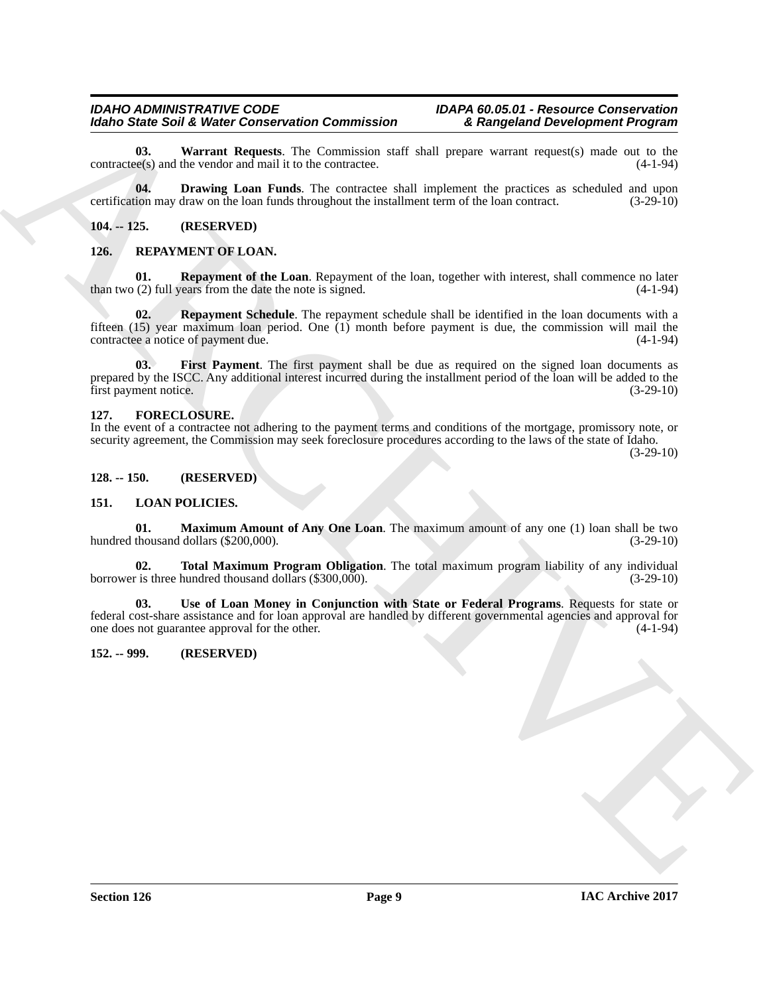#### *IDAHO ADMINISTRATIVE CODE IDAPA 60.05.01 - Resource Conservation Idaho State Soil & Water Conservation Commission & Rangeland Development Program*

<span id="page-8-8"></span>**03.** Warrant Requests. The Commission staff shall prepare warrant request(s) made out to the ee(s) and the vendor and mail it to the contractee.  $\text{contracte(s)}$  and the vendor and mail it to the contractee.

<span id="page-8-7"></span>**04. Drawing Loan Funds**. The contractee shall implement the practices as scheduled and upon certification may draw on the loan funds throughout the installment term of the loan contract. (3-29-10)

#### <span id="page-8-0"></span>**104. -- 125. (RESERVED)**

#### <span id="page-8-15"></span><span id="page-8-13"></span><span id="page-8-1"></span>**126. REPAYMENT OF LOAN.**

<span id="page-8-16"></span>**01. Repayment of the Loan**. Repayment of the loan, together with interest, shall commence no later (2) full years from the date the note is signed. (4-1-94) than two  $(2)$  full years from the date the note is signed.

Models Soli & Weiser Concerns and Concerns and Table and Table and Table and Table and Table and Table and Table and Table and Table and Table and Table and Table and Table and Table and Table and Table and Table and Tabl **Repayment Schedule**. The repayment schedule shall be identified in the loan documents with a fifteen (15) year maximum loan period. One (1) month before payment is due, the commission will mail the contractee a notice of payment due.

<span id="page-8-14"></span>**03. First Payment**. The first payment shall be due as required on the signed loan documents as prepared by the ISCC. Any additional interest incurred during the installment period of the loan will be added to the first payment notice. (3-29-10)

#### <span id="page-8-6"></span><span id="page-8-2"></span>**127. FORECLOSURE.**

In the event of a contractee not adhering to the payment terms and conditions of the mortgage, promissory note, or security agreement, the Commission may seek foreclosure procedures according to the laws of the state of Idaho.

(3-29-10)

#### <span id="page-8-3"></span>**128. -- 150. (RESERVED)**

#### <span id="page-8-9"></span><span id="page-8-4"></span>**151. LOAN POLICIES.**

<span id="page-8-10"></span>**01. Maximum Amount of Any One Loan**. The maximum amount of any one (1) loan shall be two thousand dollars (\$200,000). (3-29-10) hundred thousand dollars (\$200,000).

<span id="page-8-11"></span>**02. Total Maximum Program Obligation**. The total maximum program liability of any individual r is three hundred thousand dollars (\$300,000). (3-29-10) borrower is three hundred thousand dollars  $(\$300,000)$ .

<span id="page-8-12"></span>**03. Use of Loan Money in Conjunction with State or Federal Programs**. Requests for state or federal cost-share assistance and for loan approval are handled by different governmental agencies and approval for one does not guarantee approval for the other. (4-1-94)

#### <span id="page-8-5"></span>**152. -- 999. (RESERVED)**